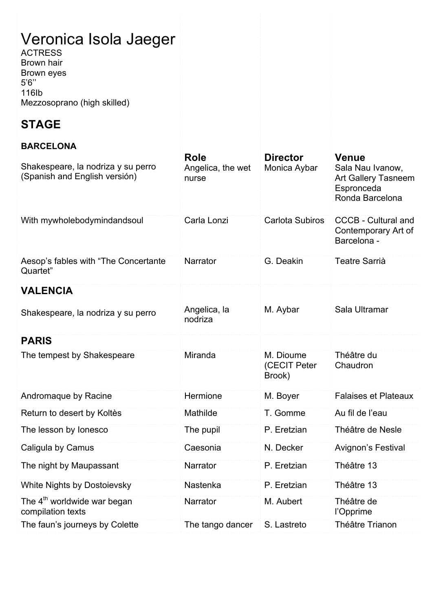# Veronica Isola Jaeger

ACTRESS Brown hair Brown eyes 5'6'' 116Ib Mezzosoprano (high skilled)

# **STAGE**

#### **BARCELONA**

| Shakespeare, la nodriza y su perro<br>(Spanish and English versión) | <b>Role</b><br>Angelica, the wet<br>nurse | <b>Director</b><br>Monica Aybar     | <b>Venue</b><br>Sala Nau Ivanow,<br><b>Art Gallery Tasneem</b><br>Espronceda<br>Ronda Barcelona |
|---------------------------------------------------------------------|-------------------------------------------|-------------------------------------|-------------------------------------------------------------------------------------------------|
| With mywholebodymindandsoul                                         | Carla Lonzi                               | <b>Carlota Subiros</b>              | <b>CCCB - Cultural and</b><br>Contemporary Art of<br>Barcelona -                                |
| Aesop's fables with "The Concertante<br>Quartet"                    | Narrator                                  | G. Deakin                           | <b>Teatre Sarrià</b>                                                                            |
| <b>VALENCIA</b>                                                     |                                           |                                     |                                                                                                 |
| Shakespeare, la nodriza y su perro                                  | Angelica, la<br>nodriza                   | M. Aybar                            | Sala Ultramar                                                                                   |
| <b>PARIS</b>                                                        |                                           |                                     |                                                                                                 |
| The tempest by Shakespeare                                          | Miranda                                   | M. Dioume<br>(CECIT Peter<br>Brook) | Théâtre du<br>Chaudron                                                                          |
| Andromaque by Racine                                                | Hermione                                  | M. Boyer                            | <b>Falaises et Plateaux</b>                                                                     |
| Return to desert by Koltès                                          | Mathilde                                  | T. Gomme                            | Au fil de l'eau                                                                                 |
| The lesson by lonesco                                               | The pupil                                 | P. Eretzian                         | Théâtre de Nesle                                                                                |
| Caligula by Camus                                                   | Caesonia                                  | N. Decker                           | Avignon's Festival                                                                              |
| The night by Maupassant                                             | Narrator                                  | P. Eretzian                         | Théâtre 13                                                                                      |
| <b>White Nights by Dostoievsky</b>                                  | Nastenka                                  | P. Eretzian                         | Théâtre 13                                                                                      |
| The 4 <sup>th</sup> worldwide war began<br>compilation texts        | Narrator                                  | M. Aubert                           | Théâtre de<br>l'Opprime                                                                         |
| The faun's journeys by Colette                                      | The tango dancer                          | S. Lastreto                         | Théâtre Trianon                                                                                 |